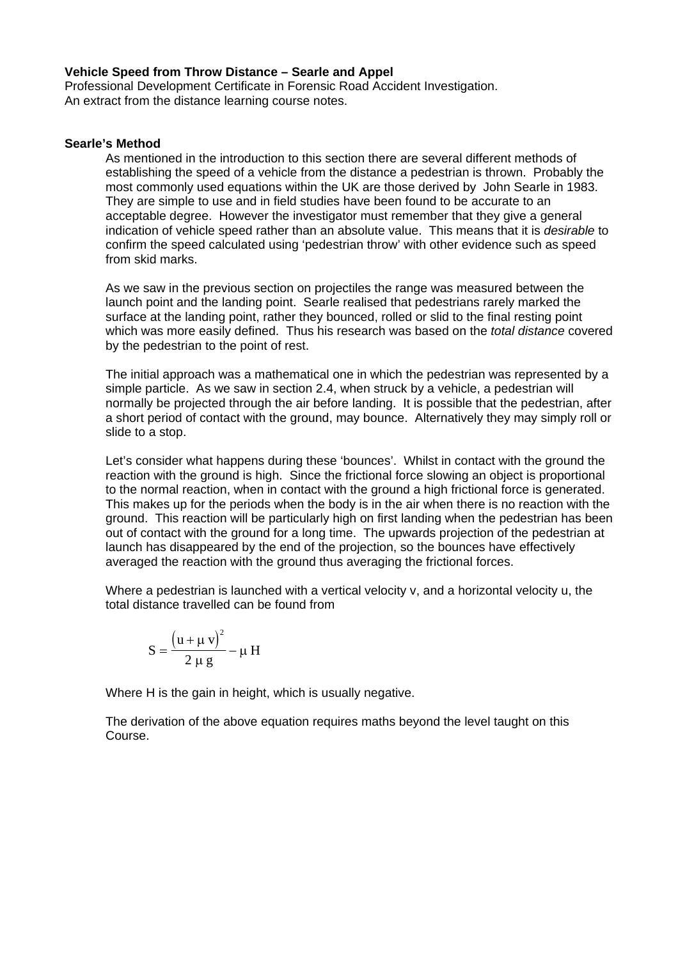# **Vehicle Speed from Throw Distance – Searle and Appel**

Professional Development Certificate in Forensic Road Accident Investigation. An extract from the distance learning course notes.

# **Searle's Method**

As mentioned in the introduction to this section there are several different methods of establishing the speed of a vehicle from the distance a pedestrian is thrown. Probably the most commonly used equations within the UK are those derived by John Searle in 1983. They are simple to use and in field studies have been found to be accurate to an acceptable degree. However the investigator must remember that they give a general indication of vehicle speed rather than an absolute value. This means that it is *desirable* to confirm the speed calculated using 'pedestrian throw' with other evidence such as speed from skid marks.

As we saw in the previous section on projectiles the range was measured between the launch point and the landing point. Searle realised that pedestrians rarely marked the surface at the landing point, rather they bounced, rolled or slid to the final resting point which was more easily defined. Thus his research was based on the *total distance* covered by the pedestrian to the point of rest.

The initial approach was a mathematical one in which the pedestrian was represented by a simple particle. As we saw in section 2.4, when struck by a vehicle, a pedestrian will normally be projected through the air before landing. It is possible that the pedestrian, after a short period of contact with the ground, may bounce. Alternatively they may simply roll or slide to a stop.

Let's consider what happens during these 'bounces'. Whilst in contact with the ground the reaction with the ground is high. Since the frictional force slowing an object is proportional to the normal reaction, when in contact with the ground a high frictional force is generated. This makes up for the periods when the body is in the air when there is no reaction with the ground. This reaction will be particularly high on first landing when the pedestrian has been out of contact with the ground for a long time. The upwards projection of the pedestrian at launch has disappeared by the end of the projection, so the bounces have effectively averaged the reaction with the ground thus averaging the frictional forces.

Where a pedestrian is launched with a vertical velocity v, and a horizontal velocity u, the total distance travelled can be found from

$$
S = \frac{(u + \mu v)^2}{2 \mu g} - \mu H
$$

Where H is the gain in height, which is usually negative.

The derivation of the above equation requires maths beyond the level taught on this Course.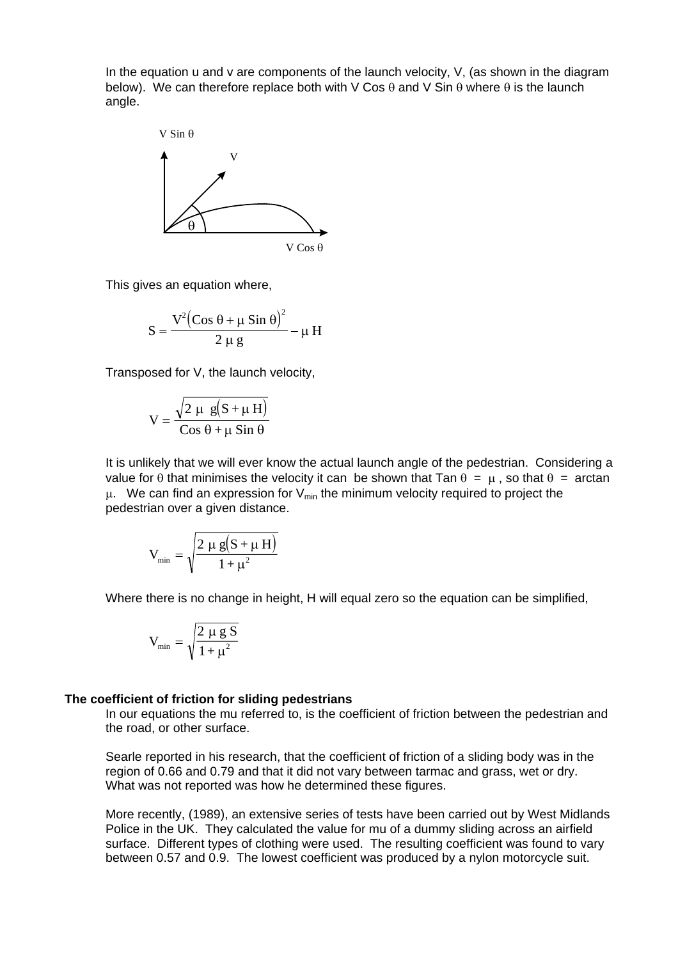In the equation u and v are components of the launch velocity, V, (as shown in the diagram below). We can therefore replace both with V Cos  $\theta$  and V Sin  $\theta$  where  $\theta$  is the launch angle.



This gives an equation where,

$$
S = \frac{V^2 \left( \cos \theta + \mu \sin \theta \right)^2}{2 \mu g} - \mu H
$$

Transposed for V, the launch velocity,

$$
V = \frac{\sqrt{2 \mu g (S + \mu H)}}{\cos \theta + \mu \sin \theta}
$$

It is unlikely that we will ever know the actual launch angle of the pedestrian. Considering a value for  $\theta$  that minimises the velocity it can be shown that Tan  $\theta = \mu$ , so that  $\theta =$  arctan  $\mu$ . We can find an expression for  $V_{min}$  the minimum velocity required to project the pedestrian over a given distance.

$$
V_{\min} = \sqrt{\frac{2 \mu g (S + \mu H)}{1 + \mu^2}}
$$

Where there is no change in height. H will equal zero so the equation can be simplified,

$$
V_{min}=\sqrt{\frac{2\ \mu\ g\ S}{1+\mu^2}}
$$

#### **The coefficient of friction for sliding pedestrians**

In our equations the mu referred to, is the coefficient of friction between the pedestrian and the road, or other surface.

Searle reported in his research, that the coefficient of friction of a sliding body was in the region of 0.66 and 0.79 and that it did not vary between tarmac and grass, wet or dry. What was not reported was how he determined these figures.

More recently, (1989), an extensive series of tests have been carried out by West Midlands Police in the UK. They calculated the value for mu of a dummy sliding across an airfield surface. Different types of clothing were used. The resulting coefficient was found to vary between 0.57 and 0.9. The lowest coefficient was produced by a nylon motorcycle suit.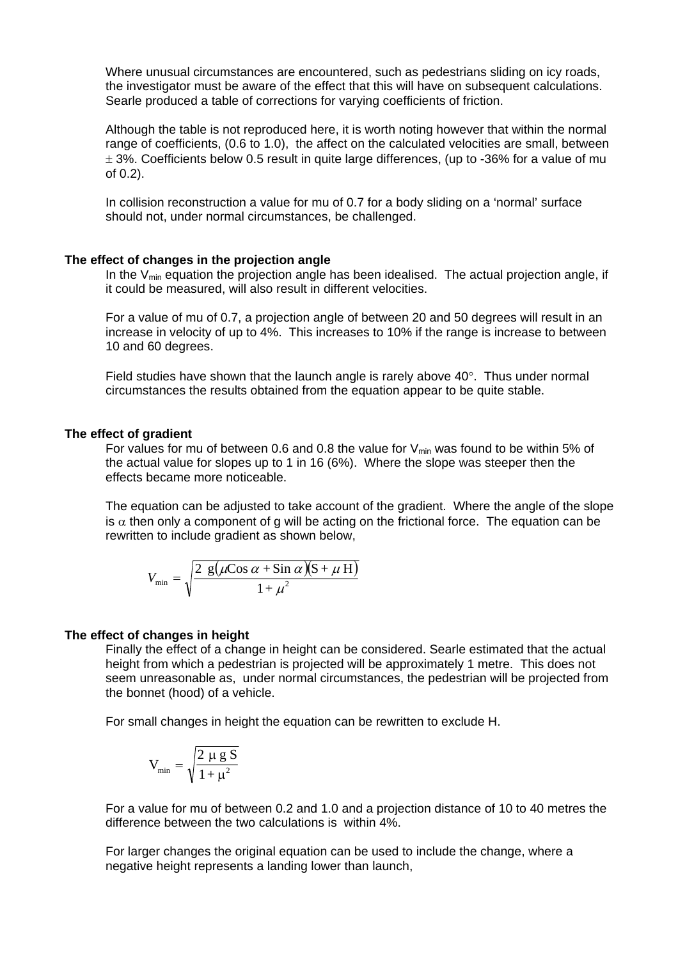Where unusual circumstances are encountered, such as pedestrians sliding on icy roads, the investigator must be aware of the effect that this will have on subsequent calculations. Searle produced a table of corrections for varying coefficients of friction.

Although the table is not reproduced here, it is worth noting however that within the normal range of coefficients, (0.6 to 1.0), the affect on the calculated velocities are small, between  $\pm$  3%. Coefficients below 0.5 result in quite large differences, (up to -36% for a value of mu of 0.2).

In collision reconstruction a value for mu of 0.7 for a body sliding on a 'normal' surface should not, under normal circumstances, be challenged.

## **The effect of changes in the projection angle**

In the  $V_{\text{min}}$  equation the projection angle has been idealised. The actual projection angle, if it could be measured, will also result in different velocities.

For a value of mu of 0.7, a projection angle of between 20 and 50 degrees will result in an increase in velocity of up to 4%. This increases to 10% if the range is increase to between 10 and 60 degrees.

Field studies have shown that the launch angle is rarely above  $40^{\circ}$ . Thus under normal circumstances the results obtained from the equation appear to be quite stable.

## **The effect of gradient**

For values for mu of between 0.6 and 0.8 the value for  $V_{min}$  was found to be within 5% of the actual value for slopes up to 1 in 16 (6%). Where the slope was steeper then the effects became more noticeable.

The equation can be adjusted to take account of the gradient. Where the angle of the slope is  $\alpha$  then only a component of g will be acting on the frictional force. The equation can be rewritten to include gradient as shown below,

$$
V_{\min} = \sqrt{\frac{2 \text{ g}(\mu \text{Cos } \alpha + \text{Sin } \alpha)(\text{S} + \mu \text{ H})}{1 + \mu^2}}
$$

#### **The effect of changes in height**

Finally the effect of a change in height can be considered. Searle estimated that the actual height from which a pedestrian is projected will be approximately 1 metre. This does not seem unreasonable as, under normal circumstances, the pedestrian will be projected from the bonnet (hood) of a vehicle.

For small changes in height the equation can be rewritten to exclude H.

$$
V_{min} = \sqrt{\frac{2 \mu g S}{1 + \mu^2}}
$$

For a value for mu of between 0.2 and 1.0 and a projection distance of 10 to 40 metres the difference between the two calculations is within 4%.

For larger changes the original equation can be used to include the change, where a negative height represents a landing lower than launch,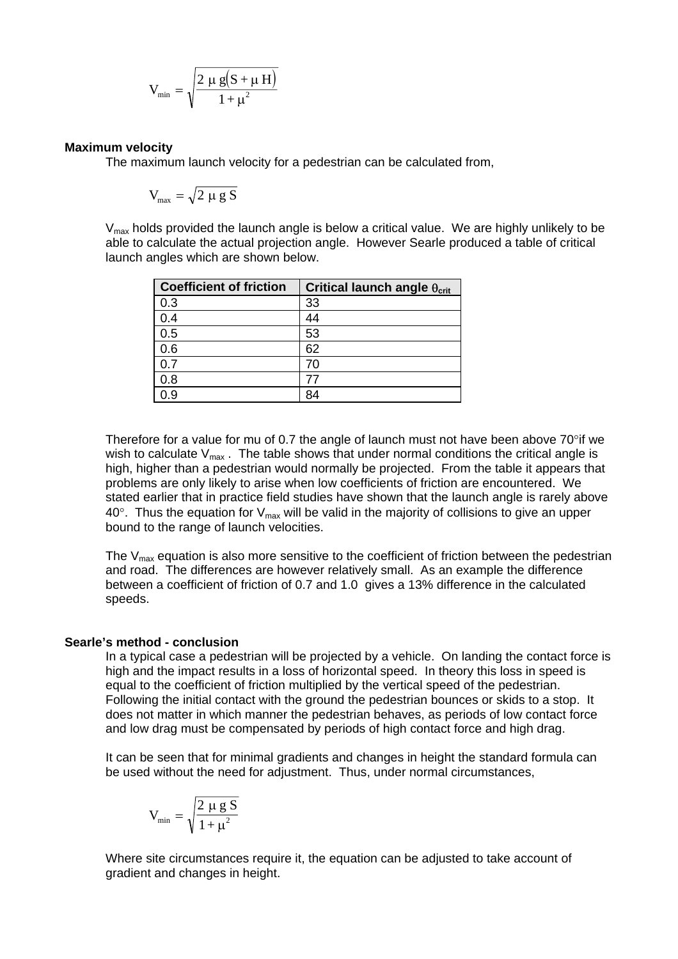$$
V_{\text{min}}=\sqrt{\frac{2\ \mu\ g(S+\mu\ H)}{1+\mu^2}}
$$

# **Maximum velocity**

The maximum launch velocity for a pedestrian can be calculated from,

$$
V_{\text{max}} = \sqrt{2 \mu g S}
$$

 $V_{\text{max}}$  holds provided the launch angle is below a critical value. We are highly unlikely to be able to calculate the actual projection angle. However Searle produced a table of critical launch angles which are shown below.

| <b>Coefficient of friction</b> | Critical launch angle $\theta_{\text{crit}}$ |
|--------------------------------|----------------------------------------------|
| 0.3                            | 33                                           |
| 0.4                            | 44                                           |
| 0.5                            | 53                                           |
| 0.6                            | 62                                           |
| າ 7                            | 70                                           |
| 0.8                            | 77                                           |
| -9                             | 84                                           |

Therefore for a value for mu of 0.7 the angle of launch must not have been above 70°if we wish to calculate  $V_{max}$ . The table shows that under normal conditions the critical angle is high, higher than a pedestrian would normally be projected. From the table it appears that problems are only likely to arise when low coefficients of friction are encountered. We stated earlier that in practice field studies have shown that the launch angle is rarely above  $40^\circ$ . Thus the equation for  $V_{\text{max}}$  will be valid in the majority of collisions to give an upper bound to the range of launch velocities.

The  $V_{\text{max}}$  equation is also more sensitive to the coefficient of friction between the pedestrian and road. The differences are however relatively small. As an example the difference between a coefficient of friction of 0.7 and 1.0 gives a 13% difference in the calculated speeds.

## **Searle's method - conclusion**

In a typical case a pedestrian will be projected by a vehicle. On landing the contact force is high and the impact results in a loss of horizontal speed. In theory this loss in speed is equal to the coefficient of friction multiplied by the vertical speed of the pedestrian. Following the initial contact with the ground the pedestrian bounces or skids to a stop. It does not matter in which manner the pedestrian behaves, as periods of low contact force and low drag must be compensated by periods of high contact force and high drag.

It can be seen that for minimal gradients and changes in height the standard formula can be used without the need for adjustment. Thus, under normal circumstances,

$$
V_{min} = \sqrt{\frac{2 \mu g S}{1 + \mu^2}}
$$

Where site circumstances require it, the equation can be adjusted to take account of gradient and changes in height.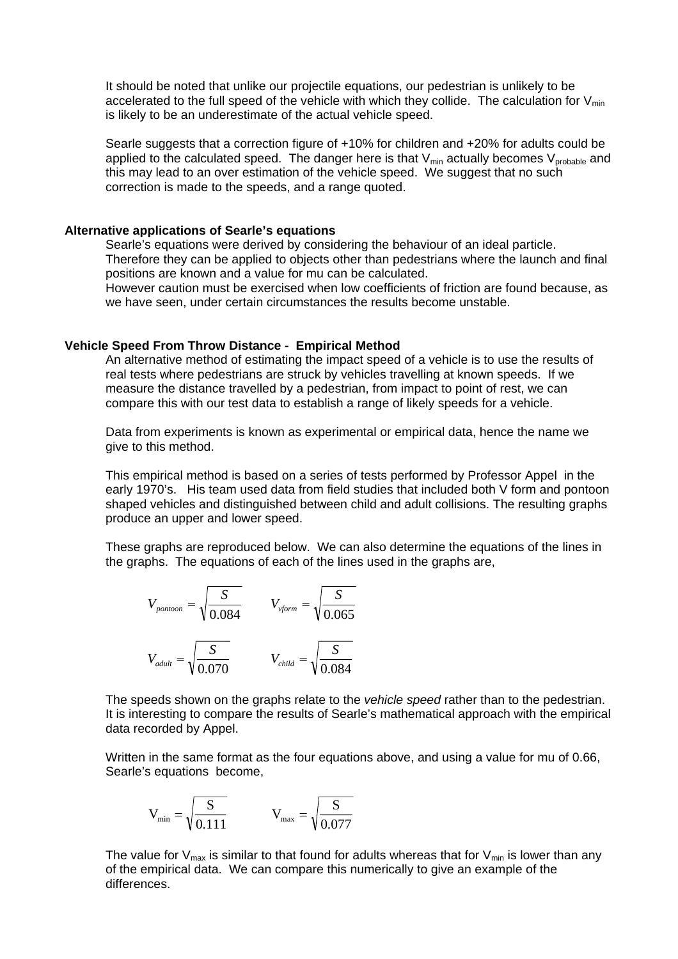It should be noted that unlike our projectile equations, our pedestrian is unlikely to be accelerated to the full speed of the vehicle with which they collide. The calculation for  $V_{min}$ is likely to be an underestimate of the actual vehicle speed.

Searle suggests that a correction figure of +10% for children and +20% for adults could be applied to the calculated speed. The danger here is that  $V_{min}$  actually becomes  $V_{probable}$  and this may lead to an over estimation of the vehicle speed. We suggest that no such correction is made to the speeds, and a range quoted.

## **Alternative applications of Searle's equations**

Searle's equations were derived by considering the behaviour of an ideal particle. Therefore they can be applied to objects other than pedestrians where the launch and final positions are known and a value for mu can be calculated.

However caution must be exercised when low coefficients of friction are found because, as we have seen, under certain circumstances the results become unstable.

## **Vehicle Speed From Throw Distance - Empirical Method**

An alternative method of estimating the impact speed of a vehicle is to use the results of real tests where pedestrians are struck by vehicles travelling at known speeds. If we measure the distance travelled by a pedestrian, from impact to point of rest, we can compare this with our test data to establish a range of likely speeds for a vehicle.

Data from experiments is known as experimental or empirical data, hence the name we give to this method.

This empirical method is based on a series of tests performed by Professor Appel in the early 1970's. His team used data from field studies that included both V form and pontoon shaped vehicles and distinguished between child and adult collisions. The resulting graphs produce an upper and lower speed.

These graphs are reproduced below. We can also determine the equations of the lines in the graphs. The equations of each of the lines used in the graphs are,

$$
V_{\text{pontoon}} = \sqrt{\frac{S}{0.084}} \qquad V_{\text{vform}} = \sqrt{\frac{S}{0.065}}
$$

$$
V_{\text{adult}} = \sqrt{\frac{S}{0.070}} \qquad V_{\text{child}} = \sqrt{\frac{S}{0.084}}
$$

The speeds shown on the graphs relate to the *vehicle speed* rather than to the pedestrian. It is interesting to compare the results of Searle's mathematical approach with the empirical data recorded by Appel.

Written in the same format as the four equations above, and using a value for mu of 0.66, Searle's equations become,

$$
V_{\min} = \sqrt{\frac{S}{0.111}}
$$
  $V_{\max} = \sqrt{\frac{S}{0.077}}$ 

The value for  $V_{max}$  is similar to that found for adults whereas that for  $V_{min}$  is lower than any of the empirical data. We can compare this numerically to give an example of the differences.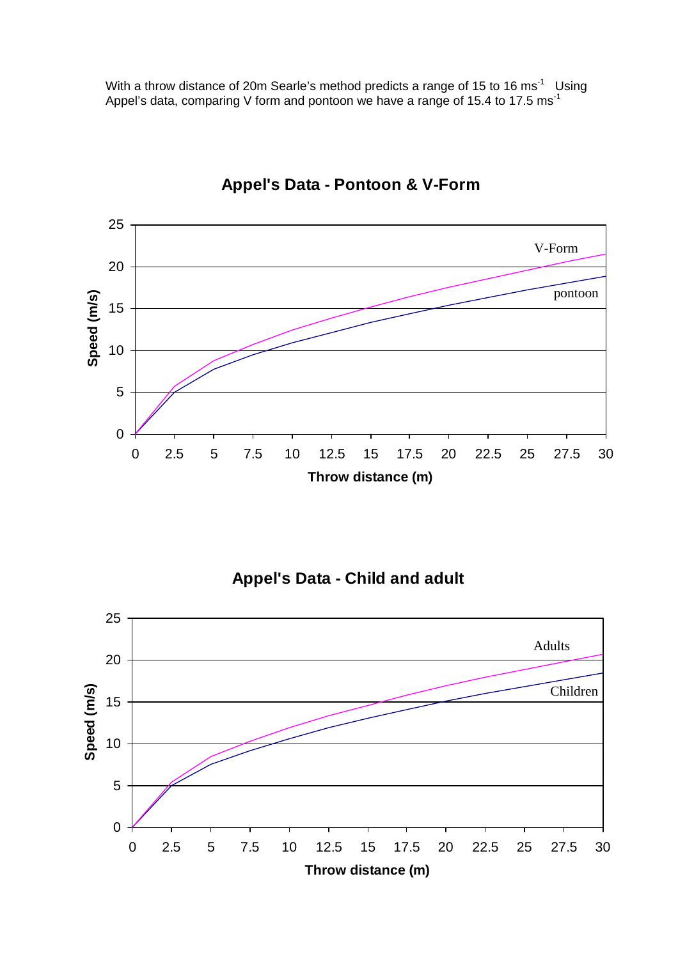With a throw distance of 20m Searle's method predicts a range of 15 to 16 ms<sup>-1</sup> Using Appel's data, comparing V form and pontoon we have a range of 15.4 to 17.5 ms<sup>-1</sup>



# **Appel's Data - Pontoon & V-Form**

**Appel's Data - Child and adult**